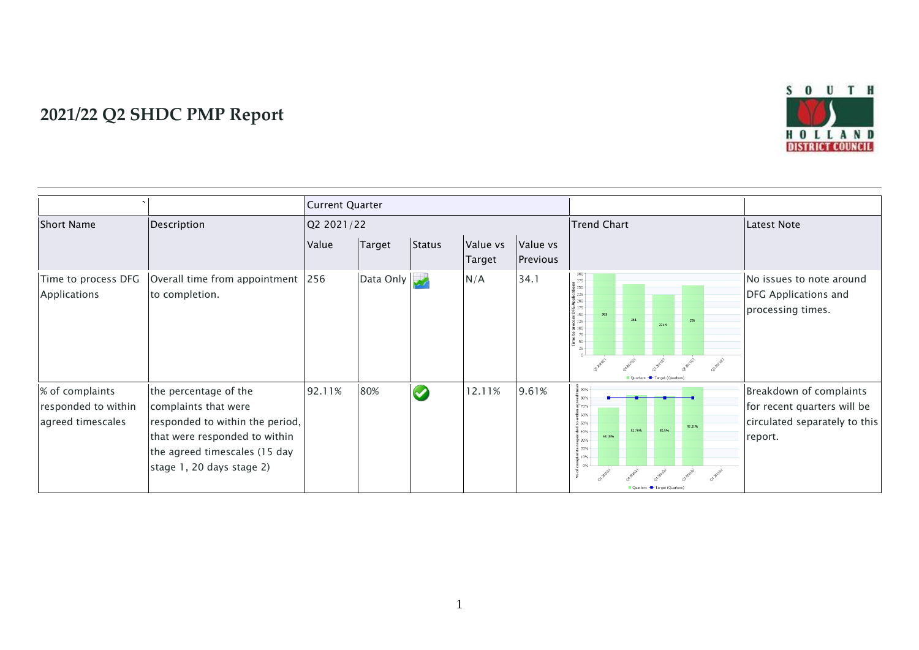

## **2021/22 Q2 SHDC PMP Report**

|                                                             |                                                                                                                                                                                 | <b>Current Quarter</b> |           |               |                    |                      |                                                                                                                                                                                                                                                                   |                                                                                                    |
|-------------------------------------------------------------|---------------------------------------------------------------------------------------------------------------------------------------------------------------------------------|------------------------|-----------|---------------|--------------------|----------------------|-------------------------------------------------------------------------------------------------------------------------------------------------------------------------------------------------------------------------------------------------------------------|----------------------------------------------------------------------------------------------------|
| <b>Short Name</b>                                           | Description                                                                                                                                                                     | Q2 2021/22             |           |               |                    |                      | Trend Chart                                                                                                                                                                                                                                                       | <b>Latest Note</b>                                                                                 |
|                                                             |                                                                                                                                                                                 | Value                  | Target    | <b>Status</b> | Value vs<br>Target | Value vs<br>Previous |                                                                                                                                                                                                                                                                   |                                                                                                    |
| Time to process DFG<br>Applications                         | Overall time from appointment 256<br>to completion.                                                                                                                             |                        | Data Only |               | N/A                | 34.1                 | 275<br>$\frac{5}{2}$ 250 $\frac{1}{2}$<br>$\frac{1}{2}$ 225<br>흍 200<br>$-175$<br>$\frac{b}{b}$ 150<br>261<br>8 125<br>256<br>221.9<br>$\frac{2}{6}$ 100<br>275<br>$\frac{1}{2}$ 50 +<br>$-25+$<br>Quarters - Target (Quarters)                                   | No issues to note around<br>DFG Applications and<br>processing times.                              |
| % of complaints<br>responded to within<br>agreed timescales | the percentage of the<br>complaints that were<br>responded to within the period,<br>that were responded to within<br>the agreed timescales (15 day<br>stage 1, 20 days stage 2) | 92.11%                 | 80%       | $\bullet$     | 12.11%             | 9.61%                | $\frac{8}{5}$ 90% $\cdot$<br>$\frac{1}{9}$ 80%<br>흉 70%<br>률 60%<br>2 50%<br>92.11%<br>82.76%<br>82.5%<br>$-40%$<br>68.18%<br>$\frac{8}{90}\frac{30\%}{1000}$<br><b>n</b> 20%<br>$\frac{10}{6}$ 10% -<br>$\Omega$<br><b>BRAIR</b><br>Quarters - Target (Quarters) | Breakdown of complaints<br>for recent quarters will be<br>circulated separately to this<br>report. |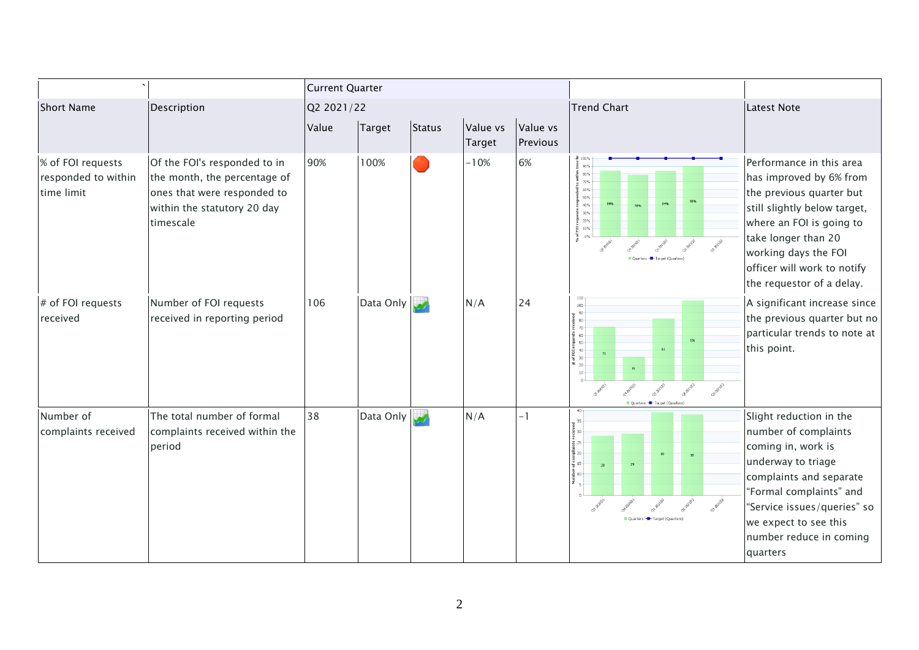|                                                        |                                                                                                                                         | <b>Current Quarter</b> |           |               |                    |                      |                                                                                                                                     |                                                                                                                                                                                                                                                        |
|--------------------------------------------------------|-----------------------------------------------------------------------------------------------------------------------------------------|------------------------|-----------|---------------|--------------------|----------------------|-------------------------------------------------------------------------------------------------------------------------------------|--------------------------------------------------------------------------------------------------------------------------------------------------------------------------------------------------------------------------------------------------------|
| <b>Short Name</b>                                      | Description                                                                                                                             | Q2 2021/22             |           |               |                    |                      | <b>Trend Chart</b>                                                                                                                  | Latest Note                                                                                                                                                                                                                                            |
|                                                        |                                                                                                                                         | Value                  | Target    | <b>Status</b> | Value vs<br>Target | Value vs<br>Previous |                                                                                                                                     |                                                                                                                                                                                                                                                        |
| % of FOI requests<br>responded to within<br>time limit | Of the FOI's responded to in<br>the month, the percentage of<br>ones that were responded to<br>within the statutory 20 day<br>timescale | 90%                    | 100%      |               | $-10%$             | 6%                   | $\pm$ 100%<br>.특    90%<br>80%<br>70%<br>60%<br>50%<br>40%<br>30%<br>륜 20%<br>$\frac{1}{6}$ 10%<br>$\frac{1}{6}$ 0%<br>30 Achill    | Performance in this area<br>has improved by 6% from<br>the previous quarter but<br>still slightly below target,<br>where an FOI is going to<br>take longer than 20<br>working days the FOI<br>officer will work to notify<br>the requestor of a delay. |
| # of FOI requests<br>received                          | Number of FOI requests<br>received in reporting period                                                                                  | 106                    | Data Only |               | N/A                | 24                   | 100<br>8 음 등 음 음 음<br><b>Pakpaza spectron 104</b><br>82<br>71<br>31<br>$10$<br>Q3 202 M2<br>or paym<br>Quarters - Target (Quarters) | A significant increase since<br>the previous quarter but no<br>particular trends to note at<br>this point.                                                                                                                                             |
| Number of<br>complaints received                       | The total number of formal<br>complaints received within the<br>period                                                                  | 38                     | Data Only |               | N/A                | -1                   | efcomplie<br>∵<br>∵<br>Number<br>.                                                                                                  | Slight reduction in the<br>number of complaints<br>coming in, work is<br>underway to triage<br>complaints and separate<br>"Formal complaints" and<br>"Service issues/queries" so<br>we expect to see this<br>number reduce in coming<br>quarters       |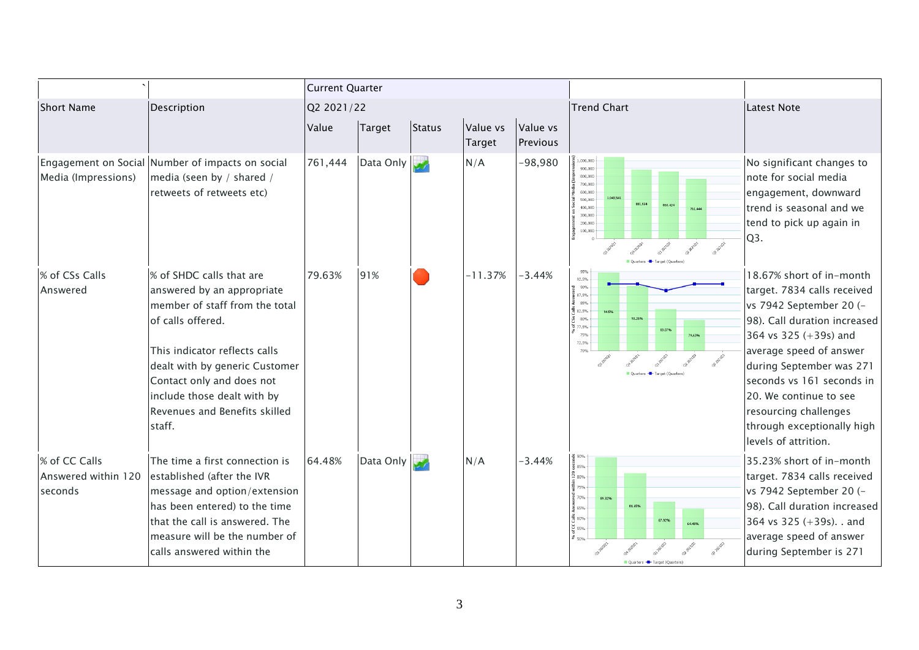|                                                 |                                                                                                                                                                                                                                                                                         | <b>Current Quarter</b> |           |               |                    |                      |                                                                                                                                                                                                      |                                                                                                                                                                                                                                                                                                                                          |
|-------------------------------------------------|-----------------------------------------------------------------------------------------------------------------------------------------------------------------------------------------------------------------------------------------------------------------------------------------|------------------------|-----------|---------------|--------------------|----------------------|------------------------------------------------------------------------------------------------------------------------------------------------------------------------------------------------------|------------------------------------------------------------------------------------------------------------------------------------------------------------------------------------------------------------------------------------------------------------------------------------------------------------------------------------------|
| <b>Short Name</b>                               | Description                                                                                                                                                                                                                                                                             | Q2 2021/22             |           |               |                    |                      | <b>Trend Chart</b>                                                                                                                                                                                   | Latest Note                                                                                                                                                                                                                                                                                                                              |
|                                                 |                                                                                                                                                                                                                                                                                         | Value                  | Target    | <b>Status</b> | Value vs<br>Target | Value vs<br>Previous |                                                                                                                                                                                                      |                                                                                                                                                                                                                                                                                                                                          |
| Media (Impressions)                             | Engagement on Social Number of impacts on social<br>media (seen by / shared /<br>retweets of retweets etc)                                                                                                                                                                              | 761,444                | Data Only |               | N/A                | -98,980              | 000.000<br>900,000<br>800,000<br>700,000<br>600.000<br>1,043,541<br>500,000<br>881.934<br>860.424<br>400.000<br>761,444<br>300,000<br>200,000<br>100,000<br>OF BRIEF<br>Quarters - Target (Quarters) | No significant changes to<br>note for social media<br>engagement, downward<br>trend is seasonal and we<br>tend to pick up again in<br>Q3.                                                                                                                                                                                                |
| % of CSs Calls<br>Answered                      | % of SHDC calls that are<br>answered by an appropriate<br>member of staff from the total<br>of calls offered.<br>This indicator reflects calls<br>dealt with by generic Customer<br>Contact only and does not<br>include those dealt with by<br>Revenues and Benefits skilled<br>staff. | 79.63%                 | 91%       |               | $-11.37%$          | $-3.44%$             | 95%<br>92.5%<br>90%<br>$\frac{1}{8}$ 87.5%<br>85%<br>$\frac{3}{76}$ 82.5%<br>94.5%<br>80%<br>577.5%<br>83.07%<br>75%<br>79.63%<br>72.5%<br>70%<br>Target (Ouarters)                                  | 18.67% short of in-month<br>target. 7834 calls received<br>vs 7942 September 20 (-<br>98). Call duration increased<br>364 vs 325 (+39s) and<br>average speed of answer<br>during September was 271<br>seconds vs 161 seconds in<br>20. We continue to see<br>resourcing challenges<br>through exceptionally high<br>levels of attrition. |
| % of CC Calls<br>Answered within 120<br>seconds | The time a first connection is<br>established (after the IVR<br>message and option/extension<br>has been entered) to the time<br>that the call is answered. The<br>measure will be the number of<br>calls answered within the                                                           | 64.48%                 | Data Only |               | N/A                | $-3.44%$             | $\frac{8}{2}$ 90%<br>$\frac{5}{4}$ 85%<br>$\frac{5}{12}$ 80%<br>튷 75%<br>꾠 70%.<br>89.32%<br>81.65%<br>€ 65%<br>$\frac{2}{10}$ 60% -<br>67.92%<br>64.48%<br>$\overline{\mathsf{c}}$ ss%<br>50%       | 35.23% short of in-month<br>target. 7834 calls received<br>vs 7942 September 20 (-<br>98). Call duration increased<br>364 vs $325 (+39s)$ . and<br>average speed of answer<br>during September is 271                                                                                                                                    |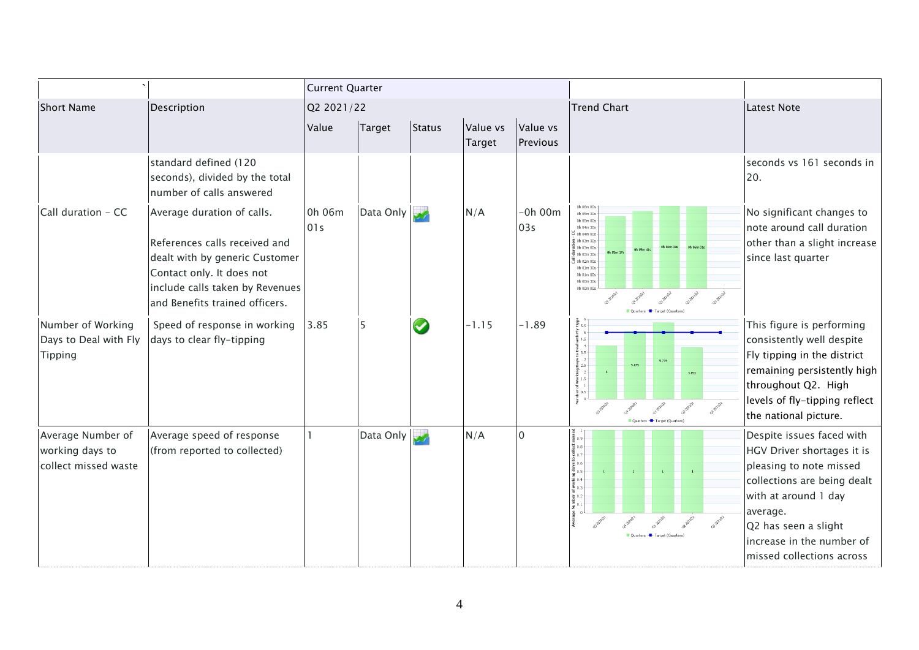|                                                              |                                                                                                                                                                                                 | <b>Current Quarter</b> |           |                         |                    |                      |                                                                                                                                                                                                                                                                                                                                                           |                                                                                                                                                                                                                                         |
|--------------------------------------------------------------|-------------------------------------------------------------------------------------------------------------------------------------------------------------------------------------------------|------------------------|-----------|-------------------------|--------------------|----------------------|-----------------------------------------------------------------------------------------------------------------------------------------------------------------------------------------------------------------------------------------------------------------------------------------------------------------------------------------------------------|-----------------------------------------------------------------------------------------------------------------------------------------------------------------------------------------------------------------------------------------|
| <b>Short Name</b>                                            | Description                                                                                                                                                                                     | Q2 2021/22             |           |                         |                    |                      | <b>Trend Chart</b>                                                                                                                                                                                                                                                                                                                                        | <b>Latest Note</b>                                                                                                                                                                                                                      |
|                                                              |                                                                                                                                                                                                 | Value                  | Target    | Status                  | Value vs<br>Target | Value vs<br>Previous |                                                                                                                                                                                                                                                                                                                                                           |                                                                                                                                                                                                                                         |
|                                                              | standard defined (120<br>seconds), divided by the total<br>number of calls answered                                                                                                             |                        |           |                         |                    |                      |                                                                                                                                                                                                                                                                                                                                                           | seconds vs 161 seconds in<br>20.                                                                                                                                                                                                        |
| Call duration - CC                                           | Average duration of calls.<br>References calls received and<br>dealt with by generic Customer<br>Contact only. It does not<br>include calls taken by Revenues<br>and Benefits trained officers. | 0h 06m<br>01s          | Data Only | $\overline{\mathbf{v}}$ | N/A                | $-0h$ 00 $m$<br>03s  | 0h 06m 00s<br>0h 05m 30s<br>0h 05m 00s<br>0h 04m 30s<br>$\overline{5}$ Oh 04m 00s<br>€ 0h 03m 30s<br>$\frac{1}{2}$ 0h 03m 00s<br>름 0h 02m 30s<br>$\overline{3}$ oh 02m 00s<br>0h 01m 30s<br>0h 01m 00s<br>0h 00m 30s<br>0h 00m 00s<br>Quarters - Target (Quarters)                                                                                        | No significant changes to<br>note around call duration<br>other than a slight increase<br>since last quarter                                                                                                                            |
| Number of Working<br>Days to Deal with Fly<br>Tipping        | Speed of response in working<br>days to clear fly-tipping                                                                                                                                       | 3.85                   | 5         | $\blacklozenge$         | $-1.15$            | $-1.89$              | eal with Fly Tippii<br>$\begin{array}{ccc}\n+ & \circ & \circ \\ + & \circ & \circ \\ \end{array}$<br>$\frac{8}{2}$ 3.5<br>$\sum_{n=1}^{\infty} 2.5$<br>5.739<br>5.075<br>$\begin{bmatrix} 1 & 0 \\ 0 & 1 \end{bmatrix}$ of Working $\begin{bmatrix} 1 & 0 \\ 0 & 1 \end{bmatrix}$<br>3.851<br>$rac{1}{2}$ 0.5<br>General<br>Ouarters - Target (Ouarters) | This figure is performing<br>consistently well despite<br>Fly tipping in the district<br>remaining persistently high<br>throughout Q2. High<br>levels of fly-tipping reflect<br>the national picture.                                   |
| Average Number of<br>working days to<br>collect missed waste | Average speed of response<br>(from reported to collected)                                                                                                                                       |                        | Data Only |                         | N/A                | $\Omega$             | 토 0.4<br>≩ 0.3<br>놈<br>호 0.2<br>$\frac{5}{2}$ 0.1                                                                                                                                                                                                                                                                                                         | Despite issues faced with<br>HGV Driver shortages it is<br>pleasing to note missed<br>collections are being dealt<br>with at around 1 day<br>average.<br>Q2 has seen a slight<br>increase in the number of<br>missed collections across |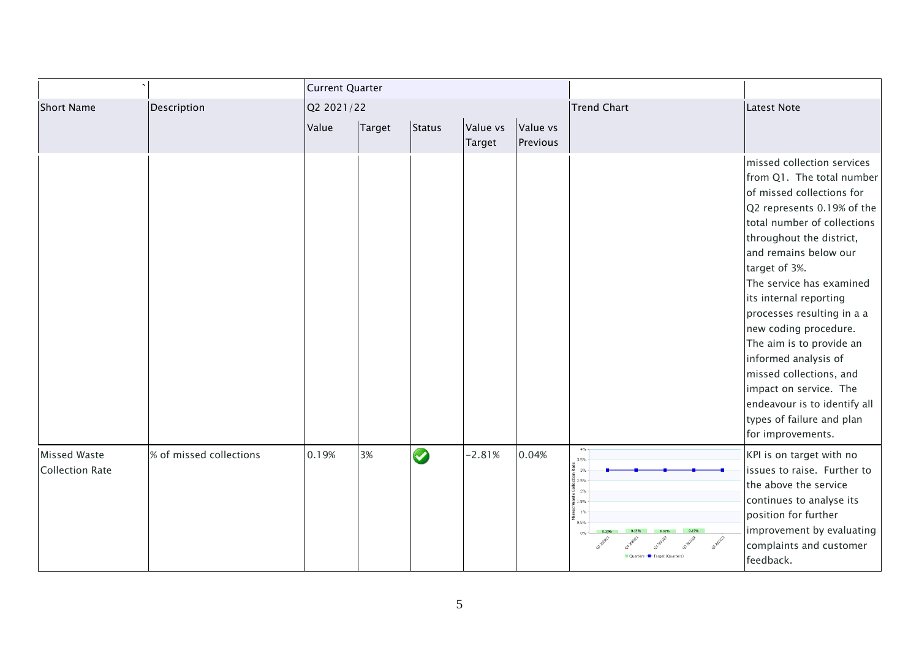|                                        |                         | <b>Current Quarter</b> |        |           |                    |                      |                                                                                                                  |                                                                                                                                                                                                                                                                                                                                                                                                                                                                                                                                 |
|----------------------------------------|-------------------------|------------------------|--------|-----------|--------------------|----------------------|------------------------------------------------------------------------------------------------------------------|---------------------------------------------------------------------------------------------------------------------------------------------------------------------------------------------------------------------------------------------------------------------------------------------------------------------------------------------------------------------------------------------------------------------------------------------------------------------------------------------------------------------------------|
| <b>Short Name</b>                      | Description             | Q2 2021/22             |        |           |                    |                      | Trend Chart                                                                                                      | <b>Latest Note</b>                                                                                                                                                                                                                                                                                                                                                                                                                                                                                                              |
|                                        |                         | Value                  | Target | Status    | Value vs<br>Target | Value vs<br>Previous |                                                                                                                  |                                                                                                                                                                                                                                                                                                                                                                                                                                                                                                                                 |
|                                        |                         |                        |        |           |                    |                      |                                                                                                                  | missed collection services<br>from Q1. The total number<br>of missed collections for<br>Q2 represents 0.19% of the<br>total number of collections<br>throughout the district,<br>and remains below our<br>target of 3%.<br>The service has examined<br>its internal reporting<br>processes resulting in a a<br>new coding procedure.<br>The aim is to provide an<br>informed analysis of<br>missed collections, and<br>impact on service. The<br>endeavour is to identify all<br>types of failure and plan<br>for improvements. |
| Missed Waste<br><b>Collection Rate</b> | % of missed collections | 0.19%                  | 3%     | $\bullet$ | $-2.81%$           | 0.04%                | $4\%$<br>3.5%<br>$\frac{1}{6}$ 3%<br>$\frac{5}{5}$ 2.5%<br>2%<br>$\frac{6}{8}$ 1.5%<br>$\frac{6}{9}$ 1%<br>$0\%$ | KPI is on target with no<br>issues to raise. Further to<br>the above the service<br>continues to analyse its<br>position for further<br>improvement by evaluating<br>complaints and customer<br>feedback.                                                                                                                                                                                                                                                                                                                       |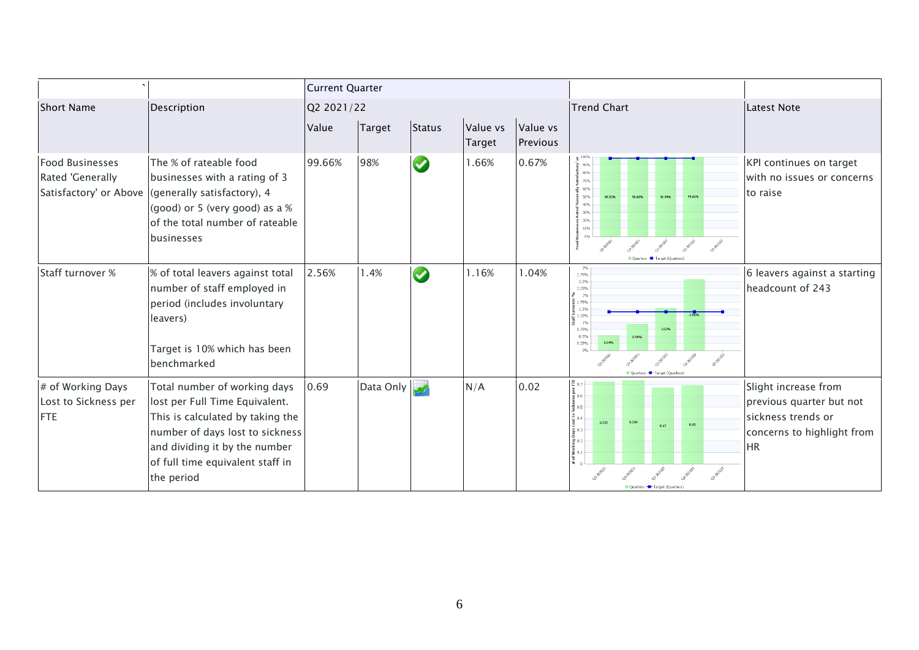|                                                                      |                                                                                                                                                                                                                          | <b>Current Quarter</b> |               |               |                           |                      |                                                                                                                                                                                                                                                                                 |                                                                                                                   |
|----------------------------------------------------------------------|--------------------------------------------------------------------------------------------------------------------------------------------------------------------------------------------------------------------------|------------------------|---------------|---------------|---------------------------|----------------------|---------------------------------------------------------------------------------------------------------------------------------------------------------------------------------------------------------------------------------------------------------------------------------|-------------------------------------------------------------------------------------------------------------------|
| <b>Short Name</b>                                                    | Description                                                                                                                                                                                                              |                        | Q2 2021/22    |               |                           |                      | <b>Trend Chart</b>                                                                                                                                                                                                                                                              | <b>Latest Note</b>                                                                                                |
|                                                                      |                                                                                                                                                                                                                          | Value                  | <b>Target</b> | <b>Status</b> | Value vs<br><b>Target</b> | Value vs<br>Previous |                                                                                                                                                                                                                                                                                 |                                                                                                                   |
| <b>Food Businesses</b><br>Rated 'Generally<br>Satisfactory' or Above | The % of rateable food<br>businesses with a rating of 3<br>(generally satisfactory), 4<br>(good) or 5 (very good) as a %<br>of the total number of rateable<br>businesses                                                | 99.66%                 | 98%           | $\bigcirc$    | 1.66%                     | 0.67%                | $h{100\%}$<br>290%<br>80%<br>70%<br>≧ 60%<br>50%<br>30%<br>10%<br>co-painz                                                                                                                                                                                                      | KPI continues on target<br>with no issues or concerns<br>to raise                                                 |
| Staff turnover %                                                     | % of total leavers against total<br>number of staff employed in<br>period (includes involuntary<br>leavers)<br>Target is 10% which has been<br>benchmarked                                                               | 2.56%                  | 1.4%          | $\bullet$     | 1.16%                     | 1.04%                | $3\%$<br>2.75%<br>2.5%<br>2.25%<br>$\frac{9}{2}\%$<br>$\frac{1}{2}$ 1.75%<br>$\begin{array}{c}\n6 \\ \frac{1}{2} & 1.5\% \\ \frac{1}{2} & 1.25\% \\ \frac{1}{2} & 1\% \n\end{array}$<br>0.75%<br>1.52%<br>0.5%<br>0.949<br>0.54%<br>0.25%<br>0%<br>Ouarters - Target (Quarters) | 6 leavers against a starting<br>headcount of 243                                                                  |
| # of Working Days<br>Lost to Sickness per<br>FTE                     | Total number of working days<br>lost per Full Time Equivalent.<br>This is calculated by taking the<br>number of days lost to sickness<br>and dividing it by the number<br>of full time equivalent staff in<br>the period | 0.69                   | Data Only     |               | N/A                       | 0.02                 | $\frac{1}{2}$ is $\frac{1}{2}$ is $\frac{1}{2}$ is $\frac{1}{2}$ is $\frac{1}{2}$ is $\frac{1}{2}$ is $\frac{1}{2}$ is $\frac{1}{2}$ is $\frac{1}{2}$<br>0.734<br>0.725<br>0.69<br>0.67                                                                                         | Slight increase from<br>previous quarter but not<br>sickness trends or<br>concerns to highlight from<br><b>HR</b> |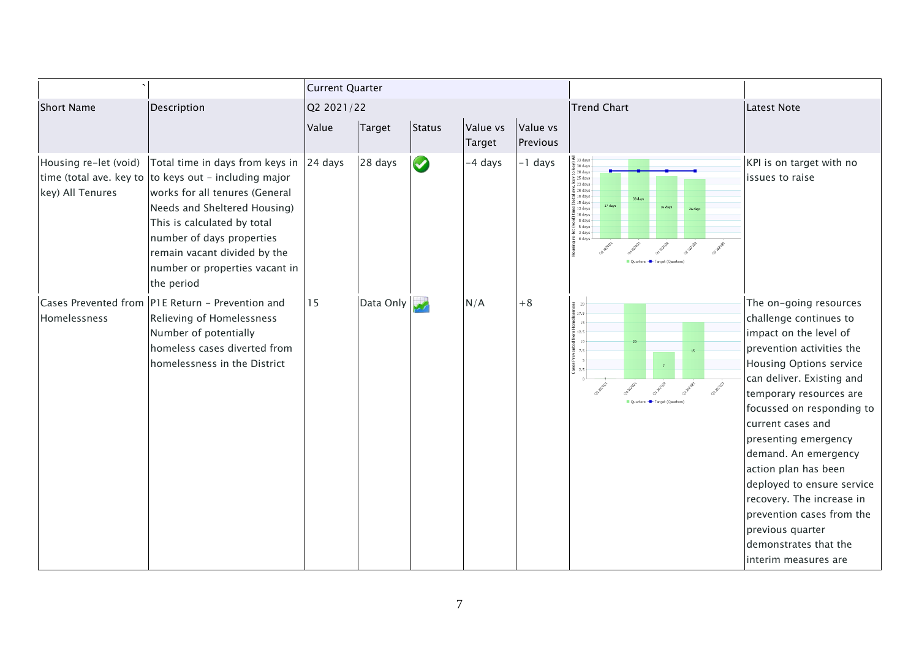|                                           |                                                                                                                                                                                                                                                                                                                   | <b>Current Quarter</b> |           |           |                    |                      |                                                                                                                                                                                                                                                                                                                                                                                                                                                                 |                                                                                                                                                                                                                                                                                                                                                                                                                                                                                          |
|-------------------------------------------|-------------------------------------------------------------------------------------------------------------------------------------------------------------------------------------------------------------------------------------------------------------------------------------------------------------------|------------------------|-----------|-----------|--------------------|----------------------|-----------------------------------------------------------------------------------------------------------------------------------------------------------------------------------------------------------------------------------------------------------------------------------------------------------------------------------------------------------------------------------------------------------------------------------------------------------------|------------------------------------------------------------------------------------------------------------------------------------------------------------------------------------------------------------------------------------------------------------------------------------------------------------------------------------------------------------------------------------------------------------------------------------------------------------------------------------------|
| <b>Short Name</b>                         | Description                                                                                                                                                                                                                                                                                                       | Q2 2021/22             |           |           |                    |                      | <b>Trend Chart</b>                                                                                                                                                                                                                                                                                                                                                                                                                                              | <b>Latest Note</b>                                                                                                                                                                                                                                                                                                                                                                                                                                                                       |
|                                           |                                                                                                                                                                                                                                                                                                                   | Value                  | Target    | Status    | Value vs<br>Target | Value vs<br>Previous |                                                                                                                                                                                                                                                                                                                                                                                                                                                                 |                                                                                                                                                                                                                                                                                                                                                                                                                                                                                          |
| Housing re-let (void)<br>key) All Tenures | Total time in days from keys in $ 24$ days<br>time (total ave. key to to keys out - including major<br>works for all tenures (General<br>Needs and Sheltered Housing)<br>This is calculated by total<br>number of days properties<br>remain vacant divided by the<br>number or properties vacant in<br>the period |                        | 28 days   | $\bullet$ | -4 days            | -1 days              | $\frac{1}{\sqrt{2}}$ 33 days<br>$\frac{36}{5}$ 28 days<br>$25 \text{ days}$<br>$\frac{25}{23} \text{ days}$<br>$\frac{23}{23} \text{ days}$<br>$\frac{18}{23} \text{ days}$<br>$\frac{18}{23} \text{ days}$<br>27 days<br>26 days<br>$\frac{9}{6}$ 13 days<br>24 days<br>$\begin{array}{r}\n\text{Example 10 days} \\ \text{10 days} \\ \text{15 days} \\ \text{24 days} \\ \text{3 days}\n\end{array}$<br>$\frac{1}{2}$ 0 days<br>Ouarters - Target (Quarters) | KPI is on target with no<br>issues to raise                                                                                                                                                                                                                                                                                                                                                                                                                                              |
| Homelessness                              | Cases Prevented from PIE Return - Prevention and<br>Relieving of Homelessness<br>Number of potentially<br>homeless cases diverted from<br>homelessness in the District                                                                                                                                            | 15                     | Data Only |           | N/A                | $+8$                 | $\frac{8}{3}$ $\frac{20}{17.5}$<br>15<br>포<br>듵 12.5<br>10<br>20<br>튱 7.5<br>15<br>Pre'<br>$\frac{3}{6}$ 2.5<br>or paint<br>Ouarters - Target (Ouarters)                                                                                                                                                                                                                                                                                                        | The on-going resources<br>challenge continues to<br>impact on the level of<br>prevention activities the<br><b>Housing Options service</b><br>can deliver. Existing and<br>temporary resources are<br>focussed on responding to<br>current cases and<br>presenting emergency<br>demand. An emergency<br>action plan has been<br>deployed to ensure service<br>recovery. The increase in<br>prevention cases from the<br>previous quarter<br>demonstrates that the<br>interim measures are |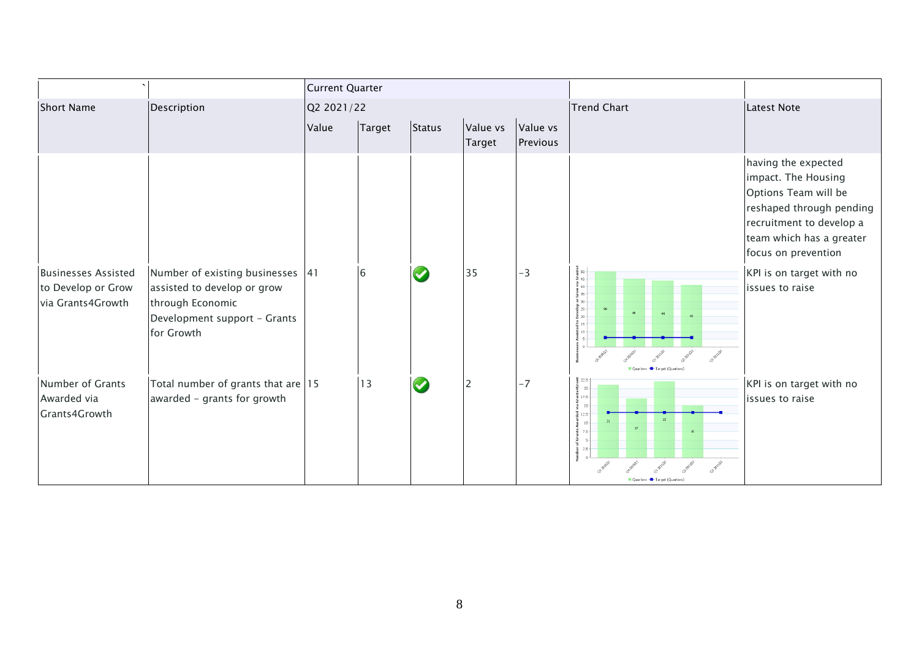|                                                                       |                                                                                                                                   | <b>Current Quarter</b> |                |                      |                    |                      |                                                                                                                                                                               |                                                                                                                                                                               |
|-----------------------------------------------------------------------|-----------------------------------------------------------------------------------------------------------------------------------|------------------------|----------------|----------------------|--------------------|----------------------|-------------------------------------------------------------------------------------------------------------------------------------------------------------------------------|-------------------------------------------------------------------------------------------------------------------------------------------------------------------------------|
| <b>Short Name</b>                                                     | Description                                                                                                                       | Q2 2021/22             |                |                      |                    |                      | <b>Trend Chart</b>                                                                                                                                                            | Latest Note                                                                                                                                                                   |
|                                                                       |                                                                                                                                   | Value                  | Target         | Status               | Value vs<br>Target | Value vs<br>Previous |                                                                                                                                                                               |                                                                                                                                                                               |
|                                                                       |                                                                                                                                   |                        |                |                      |                    |                      |                                                                                                                                                                               | having the expected<br>impact. The Housing<br>Options Team will be<br>reshaped through pending<br>recruitment to develop a<br>team which has a greater<br>focus on prevention |
| <b>Businesses Assisted</b><br>to Develop or Grow<br>via Grants4Growth | Number of existing businesses 41<br>assisted to develop or grow<br>through Economic<br>Development support - Grants<br>for Growth |                        | $6\phantom{a}$ | $\blacktriangledown$ | 35                 | $-3$                 | e<br>Times<br>545<br>$\frac{1}{2}$ <sub>40</sub><br>စီ<br>၆၁၁<br>530<br>Develop<br>$\frac{1}{3}$ 15<br>$_{10}$<br>∛š<br>Target (Ouarters                                      | KPI is on target with no<br>issues to raise                                                                                                                                   |
| Number of Grants<br>Awarded via<br>Grants4Growth                      | Total number of grants that are 15<br>awarded - grants for growth                                                                 |                        | 13             |                      | $\overline{2}$     | $-7$                 | 32.5<br>$20 -$<br>$\frac{1}{6}$ 17.5 $\cdot$<br>$\frac{15}{5}$ 15<br>$\frac{1}{2}$ 12.5<br>22<br>$10 -$<br>27.5<br>G<br>$5 - 2.5$<br>OP-BRITE<br>Ouarters - Target (Ouarters) | KPI is on target with no<br>issues to raise                                                                                                                                   |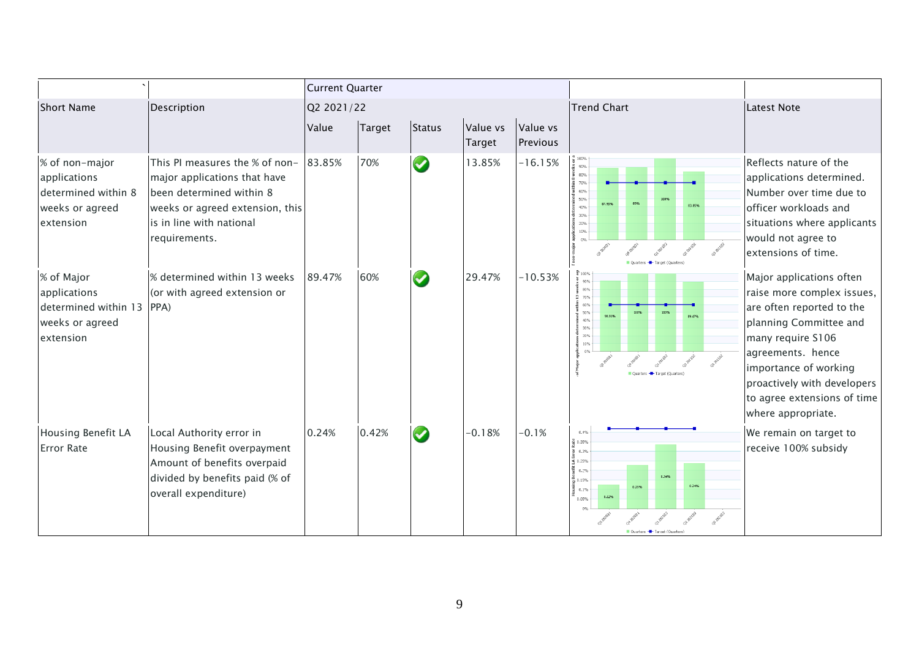|                                                                                       |                                                                                                                                                                            | <b>Current Quarter</b> |        |                      |                    |                      |                                                                                                                                                                |                                                                                                                                                                                                                                                                      |
|---------------------------------------------------------------------------------------|----------------------------------------------------------------------------------------------------------------------------------------------------------------------------|------------------------|--------|----------------------|--------------------|----------------------|----------------------------------------------------------------------------------------------------------------------------------------------------------------|----------------------------------------------------------------------------------------------------------------------------------------------------------------------------------------------------------------------------------------------------------------------|
| <b>Short Name</b>                                                                     | Description                                                                                                                                                                | Q2 2021/22             |        |                      |                    |                      | <b>Trend Chart</b>                                                                                                                                             | Latest Note                                                                                                                                                                                                                                                          |
|                                                                                       |                                                                                                                                                                            | Value                  | Target | Status               | Value vs<br>Target | Value vs<br>Previous |                                                                                                                                                                |                                                                                                                                                                                                                                                                      |
| % of non-major<br>applications<br>determined within 8<br>weeks or agreed<br>extension | This PI measures the % of non-<br>major applications that have<br>been determined within 8<br>weeks or agreed extension, this<br>is in line with national<br>requirements. | 83.85%                 | 70%    | $\bigcirc$           | 13.85%             | $-16.15%$            | $\frac{10}{6}$ 100%<br>້ 90%<br>$30\%$<br>\$70%<br>$\frac{1}{3}$ 60%<br>50%<br>87.95%<br>83.85%<br>40%<br>$\frac{1}{6}$ 30%<br>20%<br>10%<br>Target (Quarters) | Reflects nature of the<br>applications determined.<br>Number over time due to<br>officer workloads and<br>situations where applicants<br>would not agree to<br>extensions of time.                                                                                   |
| % of Major<br>applications<br>determined within 13<br>weeks or agreed<br>extension    | % determined within 13 weeks<br>(or with agreed extension or<br>PPA)                                                                                                       | 89.47%                 | 60%    | $\blacktriangledown$ | 29.47%             | $-10.53%$            | 통 100%<br>$\frac{5}{2}$ 90%<br>270%<br>툼 60%<br>50%<br>89.479<br>40%<br>30%<br>20%<br>10%                                                                      | Major applications often<br>raise more complex issues,<br>are often reported to the<br>planning Committee and<br>many require S106<br>agreements. hence<br>importance of working<br>proactively with developers<br>to agree extensions of time<br>where appropriate. |
| <b>Housing Benefit LA</b><br><b>Error Rate</b>                                        | Local Authority error in<br>Housing Benefit overpayment<br>Amount of benefits overpaid<br>divided by benefits paid (% of<br>overall expenditure)                           | 0.24%                  | 0.42%  | $\bullet$            | $-0.18%$           | $-0.1%$              | 0.4%<br>$\frac{a}{6}$ 0.35%<br>$\frac{1}{2}$ 0.3%<br>툐<br>≤ 0.25%<br>蜀 0.2%<br>0.34%<br>$\frac{8}{9}$ 0.15%<br>0.24%<br>0.23%<br>0.1%<br>0.12%<br>0.05%        | We remain on target to<br>receive 100% subsidy                                                                                                                                                                                                                       |